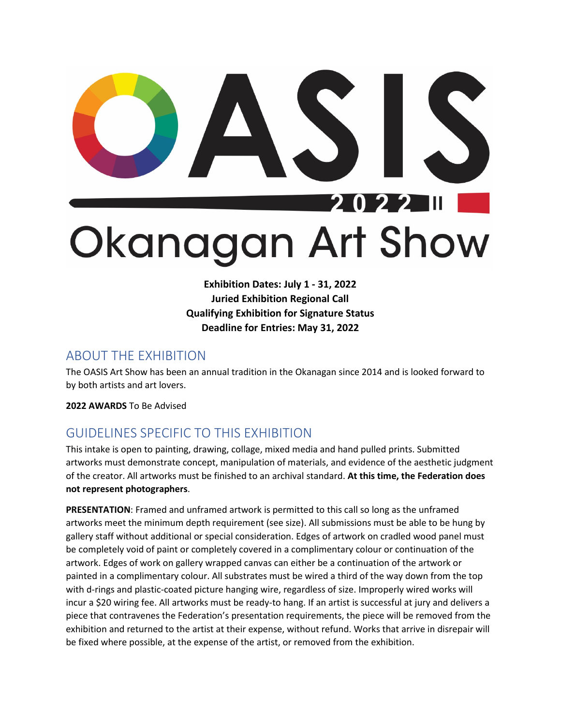## 22 20 Okanagan Art Show

**Exhibition Dates: July 1 - 31, 2022 Juried Exhibition Regional Call Qualifying Exhibition for Signature Status Deadline for Entries: May 31, 2022**

## ABOUT THE EXHIBITION

The OASIS Art Show has been an annual tradition in the Okanagan since 2014 and is looked forward to by both artists and art lovers.

**2022 AWARDS** To Be Advised

## GUIDELINES SPECIFIC TO THIS EXHIBITION

This intake is open to painting, drawing, collage, mixed media and hand pulled prints. Submitted artworks must demonstrate concept, manipulation of materials, and evidence of the aesthetic judgment of the creator. All artworks must be finished to an archival standard. **At this time, the Federation does not represent photographers**.

**PRESENTATION**: Framed and unframed artwork is permitted to this call so long as the unframed artworks meet the minimum depth requirement (see size). All submissions must be able to be hung by gallery staff without additional or special consideration. Edges of artwork on cradled wood panel must be completely void of paint or completely covered in a complimentary colour or continuation of the artwork. Edges of work on gallery wrapped canvas can either be a continuation of the artwork or painted in a complimentary colour. All substrates must be wired a third of the way down from the top with d-rings and plastic-coated picture hanging wire, regardless of size. Improperly wired works will incur a \$20 wiring fee. All artworks must be ready-to hang. If an artist is successful at jury and delivers a piece that contravenes the Federation's presentation requirements, the piece will be removed from the exhibition and returned to the artist at their expense, without refund. Works that arrive in disrepair will be fixed where possible, at the expense of the artist, or removed from the exhibition.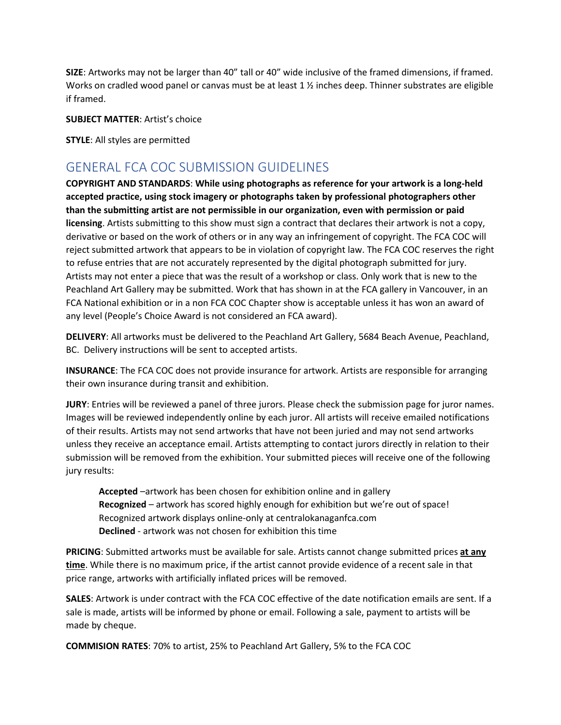**SIZE**: Artworks may not be larger than 40" tall or 40" wide inclusive of the framed dimensions, if framed. Works on cradled wood panel or canvas must be at least 1 % inches deep. Thinner substrates are eligible if framed.

**SUBJECT MATTER**: Artist's choice

**STYLE**: All styles are permitted

## GENERAL FCA COC SUBMISSION GUIDELINES

**COPYRIGHT AND STANDARDS**: **While using photographs as reference for your artwork is a long-held accepted practice, using stock imagery or photographs taken by professional photographers other than the submitting artist are not permissible in our organization, even with permission or paid licensing**. Artists submitting to this show must sign a contract that declares their artwork is not a copy, derivative or based on the work of others or in any way an infringement of copyright. The FCA COC will reject submitted artwork that appears to be in violation of copyright law. The FCA COC reserves the right to refuse entries that are not accurately represented by the digital photograph submitted for jury. Artists may not enter a piece that was the result of a workshop or class. Only work that is new to the Peachland Art Gallery may be submitted. Work that has shown in at the FCA gallery in Vancouver, in an FCA National exhibition or in a non FCA COC Chapter show is acceptable unless it has won an award of any level (People's Choice Award is not considered an FCA award).

**DELIVERY**: All artworks must be delivered to the Peachland Art Gallery, 5684 Beach Avenue, Peachland, BC. Delivery instructions will be sent to accepted artists.

**INSURANCE**: The FCA COC does not provide insurance for artwork. Artists are responsible for arranging their own insurance during transit and exhibition.

**JURY**: Entries will be reviewed a panel of three jurors. Please check the submission page for juror names. Images will be reviewed independently online by each juror. All artists will receive emailed notifications of their results. Artists may not send artworks that have not been juried and may not send artworks unless they receive an acceptance email. Artists attempting to contact jurors directly in relation to their submission will be removed from the exhibition. Your submitted pieces will receive one of the following jury results:

**Accepted** –artwork has been chosen for exhibition online and in gallery **Recognized** – artwork has scored highly enough for exhibition but we're out of space! Recognized artwork displays online-only at centralokanaganfca.com **Declined** - artwork was not chosen for exhibition this time

**PRICING**: Submitted artworks must be available for sale. Artists cannot change submitted prices **at any time**. While there is no maximum price, if the artist cannot provide evidence of a recent sale in that price range, artworks with artificially inflated prices will be removed.

**SALES**: Artwork is under contract with the FCA COC effective of the date notification emails are sent. If a sale is made, artists will be informed by phone or email. Following a sale, payment to artists will be made by cheque.

**COMMISION RATES**: 70% to artist, 25% to Peachland Art Gallery, 5% to the FCA COC